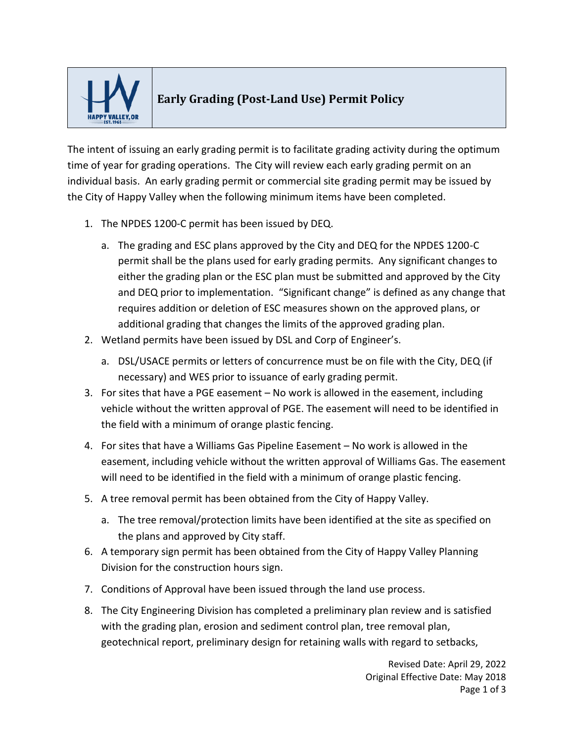

## **Early Grading (Post-Land Use) Permit Policy**

The intent of issuing an early grading permit is to facilitate grading activity during the optimum time of year for grading operations. The City will review each early grading permit on an individual basis. An early grading permit or commercial site grading permit may be issued by the City of Happy Valley when the following minimum items have been completed.

- 1. The NPDES 1200-C permit has been issued by DEQ.
	- a. The grading and ESC plans approved by the City and DEQ for the NPDES 1200-C permit shall be the plans used for early grading permits. Any significant changes to either the grading plan or the ESC plan must be submitted and approved by the City and DEQ prior to implementation. "Significant change" is defined as any change that requires addition or deletion of ESC measures shown on the approved plans, or additional grading that changes the limits of the approved grading plan.
- 2. Wetland permits have been issued by DSL and Corp of Engineer's.
	- a. DSL/USACE permits or letters of concurrence must be on file with the City, DEQ (if necessary) and WES prior to issuance of early grading permit.
- 3. For sites that have a PGE easement No work is allowed in the easement, including vehicle without the written approval of PGE. The easement will need to be identified in the field with a minimum of orange plastic fencing.
- 4. For sites that have a Williams Gas Pipeline Easement No work is allowed in the easement, including vehicle without the written approval of Williams Gas. The easement will need to be identified in the field with a minimum of orange plastic fencing.
- 5. A tree removal permit has been obtained from the City of Happy Valley.
	- a. The tree removal/protection limits have been identified at the site as specified on the plans and approved by City staff.
- 6. A temporary sign permit has been obtained from the City of Happy Valley Planning Division for the construction hours sign.
- 7. Conditions of Approval have been issued through the land use process.
- 8. The City Engineering Division has completed a preliminary plan review and is satisfied with the grading plan, erosion and sediment control plan, tree removal plan, geotechnical report, preliminary design for retaining walls with regard to setbacks,

Revised Date: April 29, 2022 Original Effective Date: May 2018 Page 1 of 3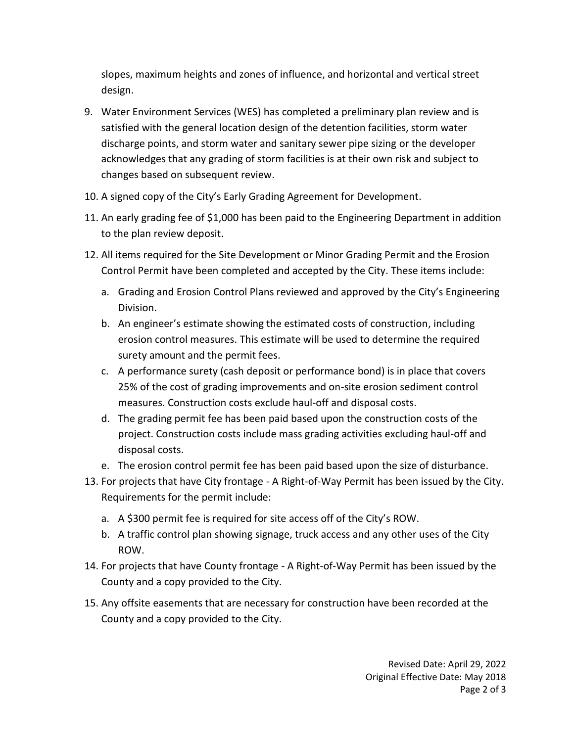slopes, maximum heights and zones of influence, and horizontal and vertical street design.

- 9. Water Environment Services (WES) has completed a preliminary plan review and is satisfied with the general location design of the detention facilities, storm water discharge points, and storm water and sanitary sewer pipe sizing or the developer acknowledges that any grading of storm facilities is at their own risk and subject to changes based on subsequent review.
- 10. A signed copy of the City's Early Grading Agreement for Development.
- 11. An early grading fee of \$1,000 has been paid to the Engineering Department in addition to the plan review deposit.
- 12. All items required for the Site Development or Minor Grading Permit and the Erosion Control Permit have been completed and accepted by the City. These items include:
	- a. Grading and Erosion Control Plans reviewed and approved by the City's Engineering Division.
	- b. An engineer's estimate showing the estimated costs of construction, including erosion control measures. This estimate will be used to determine the required surety amount and the permit fees.
	- c. A performance surety (cash deposit or performance bond) is in place that covers 25% of the cost of grading improvements and on-site erosion sediment control measures. Construction costs exclude haul-off and disposal costs.
	- d. The grading permit fee has been paid based upon the construction costs of the project. Construction costs include mass grading activities excluding haul-off and disposal costs.
	- e. The erosion control permit fee has been paid based upon the size of disturbance.
- 13. For projects that have City frontage A Right-of-Way Permit has been issued by the City. Requirements for the permit include:
	- a. A \$300 permit fee is required for site access off of the City's ROW.
	- b. A traffic control plan showing signage, truck access and any other uses of the City ROW.
- 14. For projects that have County frontage A Right-of-Way Permit has been issued by the County and a copy provided to the City.
- 15. Any offsite easements that are necessary for construction have been recorded at the County and a copy provided to the City.